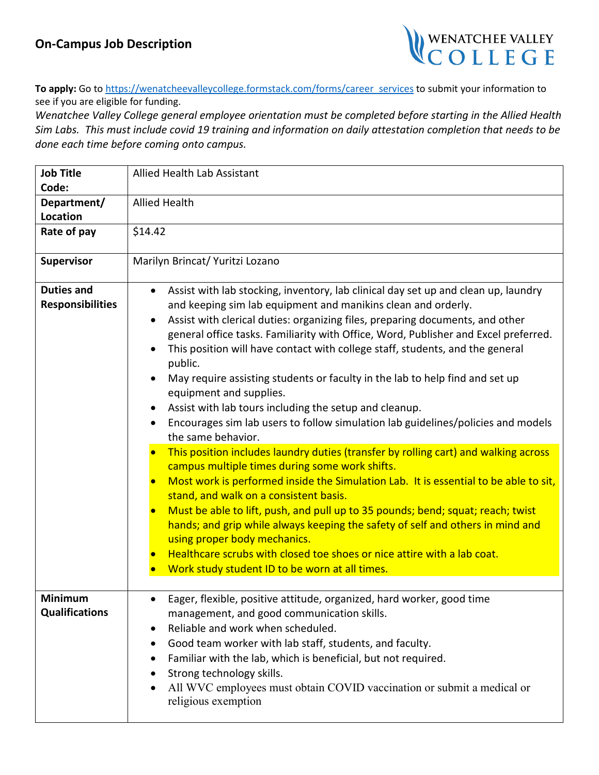## **On-Campus Job Description**



**To apply:** Go t[o https://wenatcheevalleycollege.formstack.com/forms/career\\_services](https://wenatcheevalleycollege.formstack.com/forms/career_services) to submit your information to see if you are eligible for funding.

*Wenatchee Valley College general employee orientation must be completed before starting in the Allied Health Sim Labs. This must include covid 19 training and information on daily attestation completion that needs to be done each time before coming onto campus.*

| <b>Job Title</b><br>Code:                    | <b>Allied Health Lab Assistant</b>                                                                                                                                                                                                                                                                                                                                                                                                                                                                                                                                                                                                                                                                                                                                                                                                                                                                                                                                                                                                                                                                                                                                                                                                                                                                                                                         |
|----------------------------------------------|------------------------------------------------------------------------------------------------------------------------------------------------------------------------------------------------------------------------------------------------------------------------------------------------------------------------------------------------------------------------------------------------------------------------------------------------------------------------------------------------------------------------------------------------------------------------------------------------------------------------------------------------------------------------------------------------------------------------------------------------------------------------------------------------------------------------------------------------------------------------------------------------------------------------------------------------------------------------------------------------------------------------------------------------------------------------------------------------------------------------------------------------------------------------------------------------------------------------------------------------------------------------------------------------------------------------------------------------------------|
| Department/<br><b>Location</b>               | <b>Allied Health</b>                                                                                                                                                                                                                                                                                                                                                                                                                                                                                                                                                                                                                                                                                                                                                                                                                                                                                                                                                                                                                                                                                                                                                                                                                                                                                                                                       |
| Rate of pay                                  | \$14.42                                                                                                                                                                                                                                                                                                                                                                                                                                                                                                                                                                                                                                                                                                                                                                                                                                                                                                                                                                                                                                                                                                                                                                                                                                                                                                                                                    |
| <b>Supervisor</b>                            | Marilyn Brincat/ Yuritzi Lozano                                                                                                                                                                                                                                                                                                                                                                                                                                                                                                                                                                                                                                                                                                                                                                                                                                                                                                                                                                                                                                                                                                                                                                                                                                                                                                                            |
| <b>Duties and</b><br><b>Responsibilities</b> | Assist with lab stocking, inventory, lab clinical day set up and clean up, laundry<br>$\bullet$<br>and keeping sim lab equipment and manikins clean and orderly.<br>Assist with clerical duties: organizing files, preparing documents, and other<br>$\bullet$<br>general office tasks. Familiarity with Office, Word, Publisher and Excel preferred.<br>This position will have contact with college staff, students, and the general<br>public.<br>May require assisting students or faculty in the lab to help find and set up<br>equipment and supplies.<br>Assist with lab tours including the setup and cleanup.<br>Encourages sim lab users to follow simulation lab guidelines/policies and models<br>$\bullet$<br>the same behavior.<br>This position includes laundry duties (transfer by rolling cart) and walking across<br>campus multiple times during some work shifts.<br>Most work is performed inside the Simulation Lab. It is essential to be able to sit,<br>stand, and walk on a consistent basis.<br>Must be able to lift, push, and pull up to 35 pounds; bend; squat; reach; twist<br>hands; and grip while always keeping the safety of self and others in mind and<br>using proper body mechanics.<br>Healthcare scrubs with closed toe shoes or nice attire with a lab coat.<br>Work study student ID to be worn at all times. |
| Minimum<br><b>Qualifications</b>             | Eager, flexible, positive attitude, organized, hard worker, good time<br>management, and good communication skills.<br>Reliable and work when scheduled.<br>Good team worker with lab staff, students, and faculty.<br>Familiar with the lab, which is beneficial, but not required.<br>Strong technology skills.<br>All WVC employees must obtain COVID vaccination or submit a medical or<br>religious exemption                                                                                                                                                                                                                                                                                                                                                                                                                                                                                                                                                                                                                                                                                                                                                                                                                                                                                                                                         |